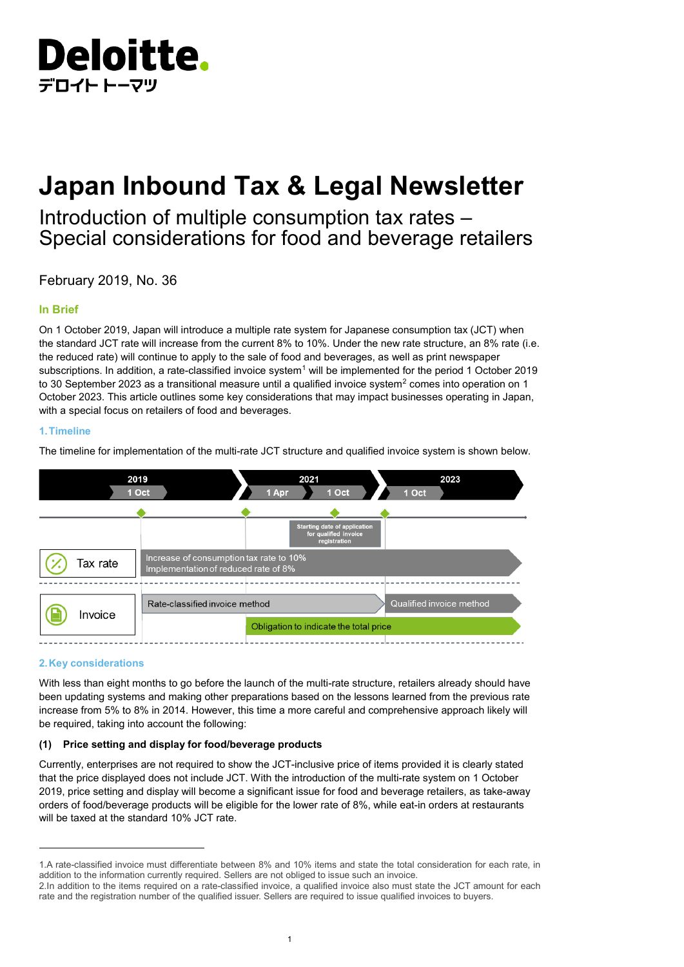

# **Japan Inbound Tax & Legal Newsletter**

## Introduction of multiple consumption tax rates – Special considerations for food and beverage retailers

February 2019, No. 36

#### **In Brief**

On 1 October 2019, Japan will introduce a multiple rate system for Japanese consumption tax (JCT) when the standard JCT rate will increase from the current 8% to 10%. Under the new rate structure, an 8% rate (i.e. the reduced rate) will continue to apply to the sale of food and beverages, as well as print newspaper subscriptions. In addition, a rate-classified invoice system<sup>[1](#page-0-0)</sup> will be implemented for the period 1 October 2019 to 30 September [2](#page-0-1)023 as a transitional measure until a qualified invoice system $^2$  comes into operation on 1 October 2023. This article outlines some key considerations that may impact businesses operating in Japan, with a special focus on retailers of food and beverages.

#### **1.Timeline**

The timeline for implementation of the multi-rate JCT structure and qualified invoice system is shown below.



#### **2.Key considerations**

With less than eight months to go before the launch of the multi-rate structure, retailers already should have been updating systems and making other preparations based on the lessons learned from the previous rate increase from 5% to 8% in 2014. However, this time a more careful and comprehensive approach likely will be required, taking into account the following:

#### **(1) Price setting and display for food/beverage products**

Currently, enterprises are not required to show the JCT-inclusive price of items provided it is clearly stated that the price displayed does not include JCT. With the introduction of the multi-rate system on 1 October 2019, price setting and display will become a significant issue for food and beverage retailers, as take-away orders of food/beverage products will be eligible for the lower rate of 8%, while eat-in orders at restaurants will be taxed at the standard 10% JCT rate.

<span id="page-0-0"></span><sup>1.</sup>A rate-classified invoice must differentiate between 8% and 10% items and state the total consideration for each rate, in addition to the information currently required. Sellers are not obliged to issue such an invoice.

<span id="page-0-1"></span><sup>2.</sup>In addition to the items required on a rate-classified invoice, a qualified invoice also must state the JCT amount for each rate and the registration number of the qualified issuer. Sellers are required to issue qualified invoices to buyers.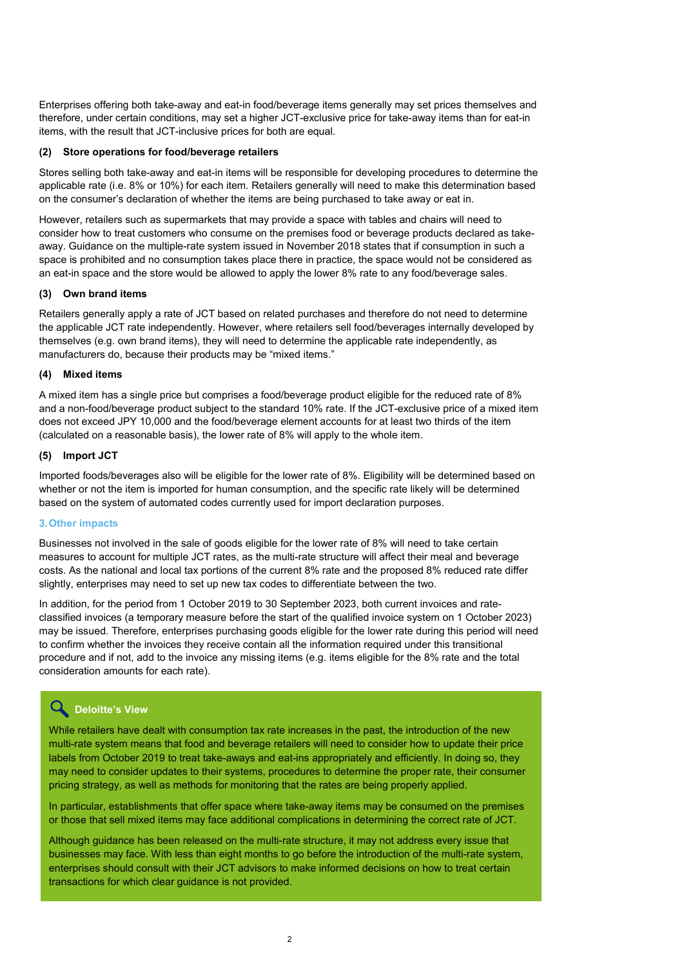Enterprises offering both take-away and eat-in food/beverage items generally may set prices themselves and therefore, under certain conditions, may set a higher JCT-exclusive price for take-away items than for eat-in items, with the result that JCT-inclusive prices for both are equal.

#### **(2) Store operations for food/beverage retailers**

Stores selling both take-away and eat-in items will be responsible for developing procedures to determine the applicable rate (i.e. 8% or 10%) for each item. Retailers generally will need to make this determination based on the consumer's declaration of whether the items are being purchased to take away or eat in.

However, retailers such as supermarkets that may provide a space with tables and chairs will need to consider how to treat customers who consume on the premises food or beverage products declared as takeaway. Guidance on the multiple-rate system issued in November 2018 states that if consumption in such a space is prohibited and no consumption takes place there in practice, the space would not be considered as an eat-in space and the store would be allowed to apply the lower 8% rate to any food/beverage sales.

#### **(3) Own brand items**

Retailers generally apply a rate of JCT based on related purchases and therefore do not need to determine the applicable JCT rate independently. However, where retailers sell food/beverages internally developed by themselves (e.g. own brand items), they will need to determine the applicable rate independently, as manufacturers do, because their products may be "mixed items."

#### **(4) Mixed items**

A mixed item has a single price but comprises a food/beverage product eligible for the reduced rate of 8% and a non-food/beverage product subject to the standard 10% rate. If the JCT-exclusive price of a mixed item does not exceed JPY 10,000 and the food/beverage element accounts for at least two thirds of the item (calculated on a reasonable basis), the lower rate of 8% will apply to the whole item.

#### **(5) Import JCT**

Imported foods/beverages also will be eligible for the lower rate of 8%. Eligibility will be determined based on whether or not the item is imported for human consumption, and the specific rate likely will be determined based on the system of automated codes currently used for import declaration purposes.

#### **3.Other impacts**

Businesses not involved in the sale of goods eligible for the lower rate of 8% will need to take certain measures to account for multiple JCT rates, as the multi-rate structure will affect their meal and beverage costs. As the national and local tax portions of the current 8% rate and the proposed 8% reduced rate differ slightly, enterprises may need to set up new tax codes to differentiate between the two.

In addition, for the period from 1 October 2019 to 30 September 2023, both current invoices and rateclassified invoices (a temporary measure before the start of the qualified invoice system on 1 October 2023) may be issued. Therefore, enterprises purchasing goods eligible for the lower rate during this period will need to confirm whether the invoices they receive contain all the information required under this transitional procedure and if not, add to the invoice any missing items (e.g. items eligible for the 8% rate and the total consideration amounts for each rate).

### **Deloitte's View**

While retailers have dealt with consumption tax rate increases in the past, the introduction of the new multi-rate system means that food and beverage retailers will need to consider how to update their price labels from October 2019 to treat take-aways and eat-ins appropriately and efficiently. In doing so, they may need to consider updates to their systems, procedures to determine the proper rate, their consumer pricing strategy, as well as methods for monitoring that the rates are being properly applied.

In particular, establishments that offer space where take-away items may be consumed on the premises or those that sell mixed items may face additional complications in determining the correct rate of JCT.

Although guidance has been released on the multi-rate structure, it may not address every issue that businesses may face. With less than eight months to go before the introduction of the multi-rate system, enterprises should consult with their JCT advisors to make informed decisions on how to treat certain transactions for which clear guidance is not provided.